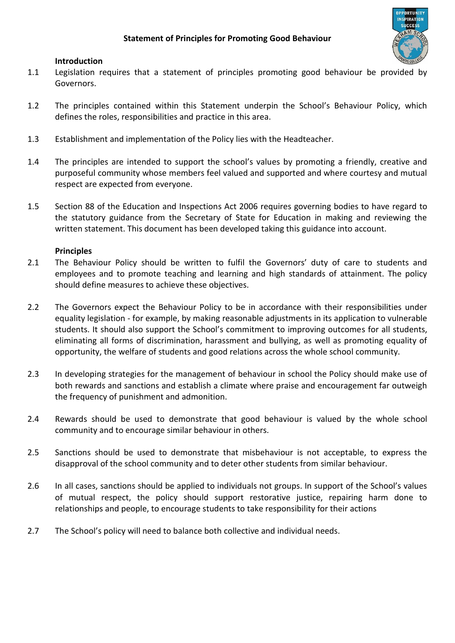## **Statement of Principles for Promoting Good Behaviour**



## **Introduction**

- 1.1 Legislation requires that a statement of principles promoting good behaviour be provided by Governors.
- 1.2 The principles contained within this Statement underpin the School's Behaviour Policy, which defines the roles, responsibilities and practice in this area.
- 1.3 Establishment and implementation of the Policy lies with the Headteacher.
- 1.4 The principles are intended to support the school's values by promoting a friendly, creative and purposeful community whose members feel valued and supported and where courtesy and mutual respect are expected from everyone.
- 1.5 Section 88 of the Education and Inspections Act 2006 requires governing bodies to have regard to the statutory guidance from the Secretary of State for Education in making and reviewing the written statement. This document has been developed taking this guidance into account.

## **Principles**

- 2.1 The Behaviour Policy should be written to fulfil the Governors' duty of care to students and employees and to promote teaching and learning and high standards of attainment. The policy should define measures to achieve these objectives.
- 2.2 The Governors expect the Behaviour Policy to be in accordance with their responsibilities under equality legislation - for example, by making reasonable adjustments in its application to vulnerable students. It should also support the School's commitment to improving outcomes for all students, eliminating all forms of discrimination, harassment and bullying, as well as promoting equality of opportunity, the welfare of students and good relations across the whole school community.
- 2.3 In developing strategies for the management of behaviour in school the Policy should make use of both rewards and sanctions and establish a climate where praise and encouragement far outweigh the frequency of punishment and admonition.
- 2.4 Rewards should be used to demonstrate that good behaviour is valued by the whole school community and to encourage similar behaviour in others.
- 2.5 Sanctions should be used to demonstrate that misbehaviour is not acceptable, to express the disapproval of the school community and to deter other students from similar behaviour.
- 2.6 In all cases, sanctions should be applied to individuals not groups. In support of the School's values of mutual respect, the policy should support restorative justice, repairing harm done to relationships and people, to encourage students to take responsibility for their actions
- 2.7 The School's policy will need to balance both collective and individual needs.